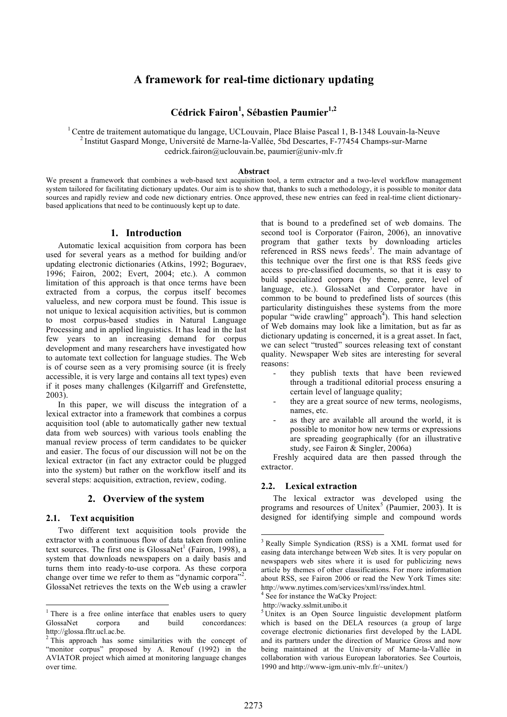# **A framework for real-time dictionary updating**

**Cédrick Fairon<sup>1</sup> , Sébastien Paumier 1,2**

<sup>1</sup> Centre de traitement automatique du langage, UCLouvain, Place Blaise Pascal 1, B-1348 Louvain-la-Neuve <sup>2</sup> Institut Gaspard Monge, Université de Marne-la-Vallée, 5bd Descartes, F-77454 Champs-sur-Marne cedrick.fairon@uclouvain.be, paumier@univ-mlv.fr

#### **Abstract**

We present a framework that combines a web-based text acquisition tool, a term extractor and a two-level workflow management system tailored for facilitating dictionary updates. Our aim is to show that, thanks to such a methodology, it is possible to monitor data sources and rapidly review and code new dictionary entries. Once approved, these new entries can feed in real-time client dictionarybased applications that need to be continuously kept up to date.

## **1. Introduction**

Automatic lexical acquisition from corpora has been used for several years as a method for building and/or updating electronic dictionaries (Atkins, 1992; Boguraev, 1996; Fairon, 2002; Evert, 2004; etc.). A common limitation of this approach is that once terms have been extracted from a corpus, the corpus itself becomes valueless, and new corpora must be found. This issue is not unique to lexical acquisition activities, but is common to most corpus-based studies in Natural Language Processing and in applied linguistics. It has lead in the last few years to an increasing demand for corpus development and many researchers have investigated how to automate text collection for language studies. The Web is of course seen as a very promising source (it is freely accessible, it is very large and contains all text types) even if it poses many challenges (Kilgarriff and Grefenstette, 2003).

In this paper, we will discuss the integration of a lexical extractor into a framework that combines a corpus acquisition tool (able to automatically gather new textual data from web sources) with various tools enabling the manual review process of term candidates to be quicker and easier. The focus of our discussion will not be on the lexical extractor (in fact any extractor could be plugged into the system) but rather on the workflow itself and its several steps: acquisition, extraction, review, coding.

## **2. Overview of the system**

#### **2.1. Text acquisition**

Two different text acquisition tools provide the extractor with a continuous flow of data taken from online text sources. The first one is GlossaNet<sup>1</sup> (Fairon, 1998), a system that downloads newspapers on a daily basis and turns them into ready-to-use corpora. As these corpora change over time we refer to them as "dynamic corpora"<sup>2</sup>. GlossaNet retrieves the texts on the Web using a crawler that is bound to a predefined set of web domains. The second tool is Corporator (Fairon, 2006), an innovative program that gather texts by downloading articles referenced in RSS news feeds<sup>3</sup>. The main advantage of this technique over the first one is that RSS feeds give access to pre-classified documents, so that it is easy to build specialized corpora (by theme, genre, level of language, etc.). GlossaNet and Corporator have in common to be bound to predefined lists of sources (this particularity distinguishes these systems from the more popular "wide crawling" approach<sup>4</sup>). This hand selection of Web domains may look like a limitation, but as far as dictionary updating is concerned, it is a great asset. In fact, we can select "trusted" sources releasing text of constant quality. Newspaper Web sites are interesting for several reasons:

- they publish texts that have been reviewed through a traditional editorial process ensuring a certain level of language quality;
- they are a great source of new terms, neologisms, names, etc.
- as they are available all around the world, it is possible to monitor how new terms or expressions are spreading geographically (for an illustrative study, see Fairon & Singler, 2006a)

Freshly acquired data are then passed through the extractor.

#### **2.2. Lexical extraction**

The lexical extractor was developed using the programs and resources of Unitex<sup>5</sup> (Paumier, 2003). It is designed for identifying simple and compound words

<sup>&</sup>lt;sup>1</sup> There is a free online interface that enables users to query GlossaNet corpora and build concordances:

http://glossa.fltr.ucl.ac.be.<br><sup>2</sup> This approach has some similarities with the concept of "monitor corpus" proposed by A. Renouf (1992) in the AVIATOR project which aimed at monitoring language changes over time.

 <sup>3</sup> Really Simple Syndication (RSS) is <sup>a</sup> XML format used for easing data interchange between Web sites. It is very popular on newspapers web sites where it is used for publicizing news article by themes of other classifications. For more information about RSS, see Fairon 2006 or read the New York Times site: http://www.nytimes.com/services/xml/rss/index.html.<br><sup>4</sup> See for instance the WaCky Project:<br>http://wacky.sslmit.unibo.it

 $5$ Unitex is an Open Source linguistic development platform which is based on the DELA resources (a group of large coverage electronic dictionaries first developed by the LADL and its partners under the direction of Maurice Gross and now being maintained at the University of Marne-la-Vallée in collaboration with various European laboratories. See Courtois, 1990 and http://www-igm.univ-mlv.fr/~unitex/)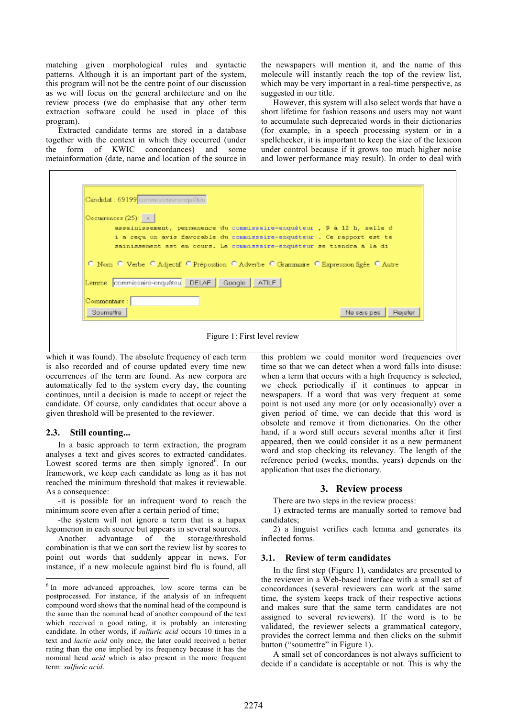matching given morphological rules and syntactic patterns. Although it is an important part of the system, this program will not be the centre point of our discussion as we will focus on the general architecture and on the review process (we do emphasise that any other term extraction software could be used in place of this program).

Extracted candidate terms are stored in a database together with the context in which they occurred (under the form of KWIC concordances) and some metainformation (date, name and location of the source in the newspapers will mention it, and the name of this molecule will instantly reach the top of the review list, which may be very important in a real-time perspective, as suggested in our title.

However, this system will also select words that have a short lifetime for fashion reasons and users may not want to accumulate such deprecated words in their dictionaries (for example, in a speech processing system or in a spellchecker, it is important to keep the size of the lexicon under control because if it grows too much higher noise and lower performance may result). In order to deal with

| Candidat: 69199 commissaire-enquêteu                                                                                                                    |
|---------------------------------------------------------------------------------------------------------------------------------------------------------|
| $O$ ceurrences (25): $+$                                                                                                                                |
| assainissement, permanence du commissaire-enquêteur, 9 à 12 h, salle d                                                                                  |
| i a reçu un avis favorable du commissaire-enquêteur. Ce rapport est te                                                                                  |
| sainissement est en cours. Le commissaire-enquêteur se tiendra à la di                                                                                  |
| <b>O Nom C Verbe C Adjectif C Préposition C Adverbe C Grammaire C Expression figée C Autre</b><br>Lemme   commissaire-enquêteu   DELAF   Google   ATILF |
| Commentaire :                                                                                                                                           |
| Ne sais pas<br>Soumettre<br>Rejeter                                                                                                                     |

Figure 1: First level review

which it was found). The absolute frequency of each term is also recorded and of course updated every time new occurrences of the term are found. As new corpora are automatically fed to the system every day, the counting continues, until a decision is made to accept or reject the candidate. Of course, only candidates that occur above a given threshold will be presented to the reviewer.

#### **2.3. Still counting...**

In a basic approach to term extraction, the program analyses a text and gives scores to extracted candidates. Lowest scored terms are then simply ignored<sup>6</sup>. In our framework, we keep each candidate as long as it has not reached the minimum threshold that makes it reviewable. As a consequence:

-it is possible for an infrequent word to reach the minimum score even after a certain period of time;

-the system will not ignore a term that is a hapax legomenon in each source but appears in several sources.

Another advantage of the storage/threshold combination is that we can sort the review list by scores to point out words that suddenly appear in news. For instance, if a new molecule against bird flu is found, all this problem we could monitor word frequencies over time so that we can detect when a word falls into disuse: when a term that occurs with a high frequency is selected, we check periodically if it continues to appear in newspapers. If a word that was very frequent at some point is not used any more (or only occasionally) over a given period of time, we can decide that this word is obsolete and remove it from dictionaries. On the other hand, if a word still occurs several months after it first appeared, then we could consider it as a new permanent word and stop checking its relevancy. The length of the reference period (weeks, months, years) depends on the application that uses the dictionary.

#### **3. Review process**

There are two steps in the review process:

1) extracted terms are manually sorted to remove bad candidates;

2) a linguist verifies each lemma and generates its inflected forms.

## **3.1. Review of term candidates**

In the first step (Figure 1), candidates are presented to the reviewer in a Web-based interface with a small set of concordances (several reviewers can work at the same time, the system keeps track of their respective actions and makes sure that the same term candidates are not assigned to several reviewers). If the word is to be validated, the reviewer selects a grammatical category, provides the correct lemma and then clicks on the submit button ("soumettre" in Figure 1).

A small set of concordances is not always sufficient to decide if a candidate is acceptable or not. This is why the

<sup>&</sup>lt;sup>6</sup> In more advanced approaches, low score terms can be postprocessed. For instance, if the analysis of an infrequent compound word shows that the nominal head of the compound is the same than the nominal head of another compound of the text which received a good rating, it is probably an interesting candidate. In other words, if *sulfuric acid* occurs 10 times in a text and *lactic acid* only once, the later could received a better rating than the one implied by its frequency because it has the nominal head *acid* which is also present in the more frequent term: *sulfuric acid*.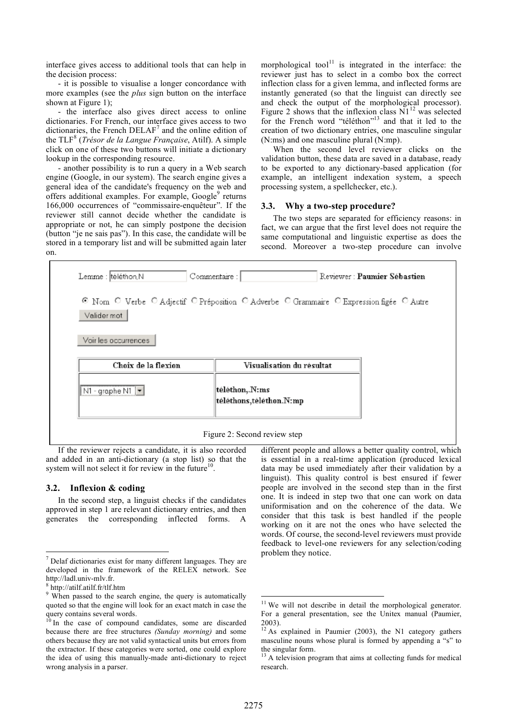interface gives access to additional tools that can help in the decision process:

- it is possible to visualise a longer concordance with more examples (see the *plus* sign button on the interface shown at Figure 1);

- the interface also gives direct access to online dictionaries. For French, our interface gives access to two dictionaries, the French DELAF<sup>7</sup> and the online edition of the TLF<sup>8</sup> (*Trésor de la Langue Française*, Atilf). A simple click on one of these two buttons will initiate a dictionary lookup in the corresponding resource.

- another possibility is to run a query in a Web search engine (Google, in our system). The search engine gives a general idea of the candidate's frequency on the web and offers additional examples. For example, Google<sup>9</sup> returns 166,000 occurrences of "commissaire-enquêteur". If the reviewer still cannot decide whether the candidate is appropriate or not, he can simply postpone the decision (button "je ne sais pas"). In this case, the candidate will be stored in a temporary list and will be submitted again later on.

morphological tool $11$  is integrated in the interface: the reviewer just has to select in a combo box the correct inflection class for a given lemma, and inflected forms are instantly generated (so that the linguist can directly see and check the output of the morphological processor). Figure 2 shows that the inflexion class  $N1^{12}$  was selected for the French word "téléthon"<sup>13</sup> and that it led to the creation of two dictionary entries, one masculine singular (N:ms) and one masculine plural (N:mp).

When the second level reviewer clicks on the validation button, these data are saved in a database, ready to be exported to any dictionary-based application (for example, an intelligent indexation system, a speech processing system, a spellchecker, etc.).

#### **3.3. Why a two-step procedure?**

The two steps are separated for efficiency reasons: in fact, we can argue that the first level does not require the same computational and linguistic expertise as does the second. Moreover a two-step procedure can involve



If the reviewer rejects a candidate, it is also recorded and added in an anti-dictionary (a stop list) so that the system will not select it for review in the future<sup>10</sup> .

## **3.2. Inflexion & coding**

In the second step, a linguist checks if the candidates approved in step 1 are relevant dictionary entries, and then generates the corresponding inflected forms. A different people and allows a better quality control, which is essential in a real-time application (produced lexical data may be used immediately after their validation by a linguist). This quality control is best ensured if fewer people are involved in the second step than in the first one. It is indeed in step two that one can work on data uniformisation and on the coherence of the data. We consider that this task is best handled if the people working on it are not the ones who have selected the words. Of course, the second-level reviewers must provide feedback to level-one reviewers for any selection/coding problem they notice.

 <sup>7</sup> Delaf dictionaries exist for many different languages. They are developed in the framework of the RELEX network. See

http://ladl.univ-mlv.fr. 8 http://atilf.atilf.fr/tlf.htm 9 When passed to the search engine, the query is automatically quoted so that the engine will look for an exact match in case the query contains several words.

In the case of compound candidates, some are discarded because there are free structures *(Sunday morning)* and some others because they are not valid syntactical units but errors from the extractor. If these categories were sorted, one could explore the idea of using this manually-made anti-dictionary to reject wrong analysis in a parser.

 $11$  We will not describe in detail the morphological generator. For a general presentation, see the Unitex manual (Paumier, 2003). <sup>12</sup> As explained in Paumier (2003), the N1 category gathers

masculine nouns whose plural is formed by appending a "s" to the singular form.<br> $13$  A television program that aims at collecting funds for medical

research.